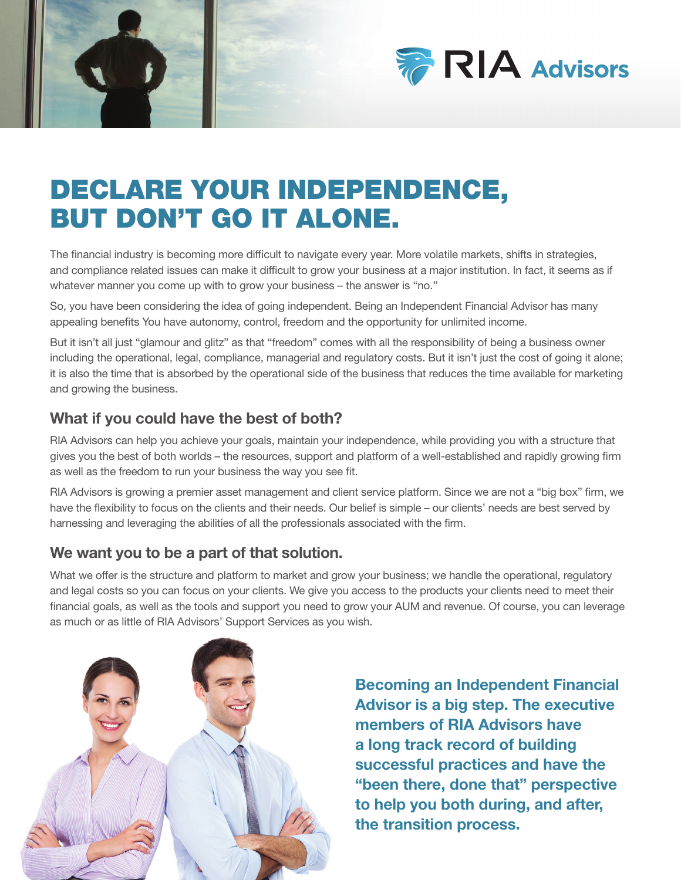



# DECLARE YOUR INDEPENDENCE, BUT DON'T GO IT ALONE.

The financial industry is becoming more difficult to navigate every year. More volatile markets, shifts in strategies, and compliance related issues can make it difficult to grow your business at a major institution. In fact, it seems as if whatever manner you come up with to grow your business - the answer is "no."

So, you have been considering the idea of going independent. Being an Independent Financial Advisor has many appealing benefits You have autonomy, control, freedom and the opportunity for unlimited income.

But it isn't all just "glamour and glitz" as that "freedom" comes with all the responsibility of being a business owner including the operational, legal, compliance, managerial and regulatory costs. But it isn't just the cost of going it alone; it is also the time that is absorbed by the operational side of the business that reduces the time available for marketing and growing the business.

### What if you could have the best of both?

RIA Advisors can help you achieve your goals, maintain your independence, while providing you with a structure that gives you the best of both worlds – the resources, support and platform of a well-established and rapidly growing firm as well as the freedom to run your business the way you see fit.

RIA Advisors is growing a premier asset management and client service platform. Since we are not a "big box" firm, we have the flexibility to focus on the clients and their needs. Our belief is simple – our clients' needs are best served by harnessing and leveraging the abilities of all the professionals associated with the firm.

### We want you to be a part of that solution.

What we offer is the structure and platform to market and grow your business; we handle the operational, regulatory and legal costs so you can focus on your clients. We give you access to the products your clients need to meet their financial goals, as well as the tools and support you need to grow your AUM and revenue. Of course, you can leverage as much or as little of RIA Advisors' Support Services as you wish.



Becoming an Independent Financial Advisor is a big step. The executive members of RIA Advisors have a long track record of building successful practices and have the "been there, done that" perspective to help you both during, and after, the transition process.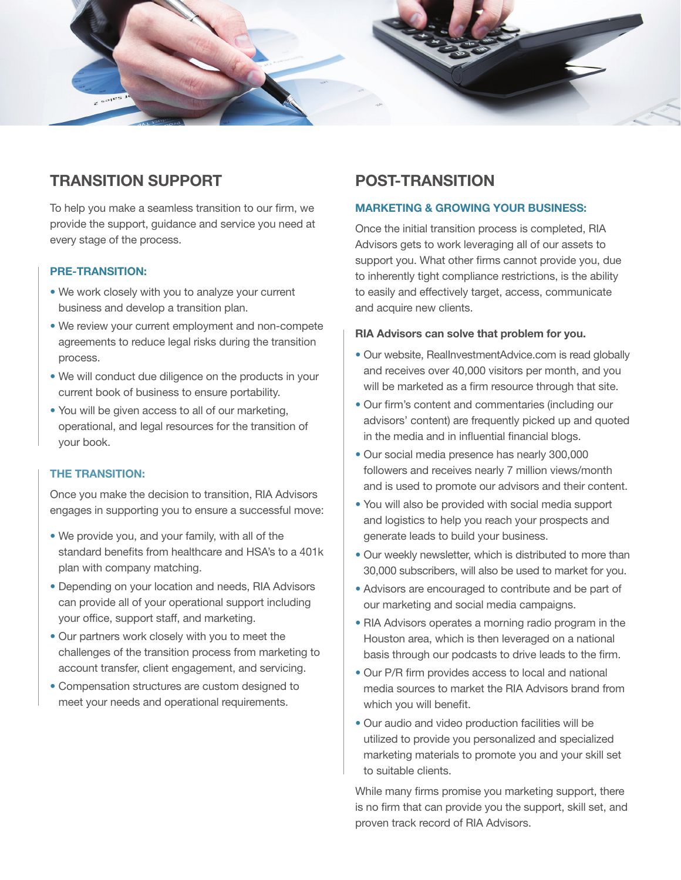

### TRANSITION SUPPORT

To help you make a seamless transition to our firm, we provide the support, guidance and service you need at every stage of the process.

### PRE-TRANSITION:

- We work closely with you to analyze your current business and develop a transition plan.
- We review your current employment and non-compete agreements to reduce legal risks during the transition process.
- We will conduct due diligence on the products in your current book of business to ensure portability.
- You will be given access to all of our marketing, operational, and legal resources for the transition of your book.

#### THE TRANSITION:

Once you make the decision to transition, RIA Advisors engages in supporting you to ensure a successful move:

- We provide you, and your family, with all of the standard benefits from healthcare and HSA's to a 401k plan with company matching.
- Depending on your location and needs, RIA Advisors can provide all of your operational support including your office, support staff, and marketing.
- Our partners work closely with you to meet the challenges of the transition process from marketing to account transfer, client engagement, and servicing.
- Compensation structures are custom designed to meet your needs and operational requirements.

### POST-TRANSITION

#### MARKETING & GROWING YOUR BUSINESS:

Once the initial transition process is completed, RIA Advisors gets to work leveraging all of our assets to support you. What other firms cannot provide you, due to inherently tight compliance restrictions, is the ability to easily and effectively target, access, communicate and acquire new clients.

#### RIA Advisors can solve that problem for you.

- Our website, RealInvestmentAdvice.com is read globally and receives over 40,000 visitors per month, and you will be marketed as a firm resource through that site.
- Our firm's content and commentaries (including our advisors' content) are frequently picked up and quoted in the media and in influential financial blogs.
- Our social media presence has nearly 300,000 followers and receives nearly 7 million views/month and is used to promote our advisors and their content.
- You will also be provided with social media support and logistics to help you reach your prospects and generate leads to build your business.
- Our weekly newsletter, which is distributed to more than 30,000 subscribers, will also be used to market for you.
- Advisors are encouraged to contribute and be part of our marketing and social media campaigns.
- RIA Advisors operates a morning radio program in the Houston area, which is then leveraged on a national basis through our podcasts to drive leads to the firm.
- Our P/R firm provides access to local and national media sources to market the RIA Advisors brand from which you will benefit.
- Our audio and video production facilities will be utilized to provide you personalized and specialized marketing materials to promote you and your skill set to suitable clients.

While many firms promise you marketing support, there is no firm that can provide you the support, skill set, and proven track record of RIA Advisors.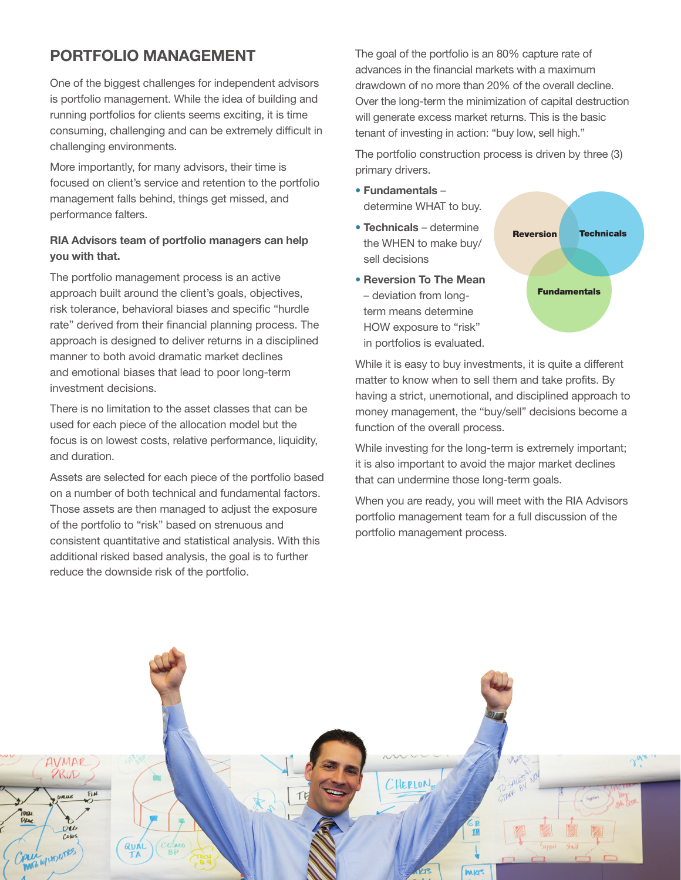# PORTFOLIO MANAGEMENT

One of the biggest challenges for independent advisors is portfolio management. While the idea of building and running portfolios for clients seems exciting, it is time consuming, challenging and can be extremely difficult in challenging environments.

More importantly, for many advisors, their time is focused on client's service and retention to the portfolio management falls behind, things get missed, and performance falters.

### RIA Advisors team of portfolio managers can help you with that.

The portfolio management process is an active approach built around the client's goals, objectives, risk tolerance, behavioral biases and specific "hurdle rate" derived from their financial planning process. The approach is designed to deliver returns in a disciplined manner to both avoid dramatic market declines and emotional biases that lead to poor long-term investment decisions.

There is no limitation to the asset classes that can be used for each piece of the allocation model but the focus is on lowest costs, relative performance, liquidity, and duration.

Assets are selected for each piece of the portfolio based on a number of both technical and fundamental factors. Those assets are then managed to adjust the exposure of the portfolio to "risk" based on strenuous and consistent quantitative and statistical analysis. With this additional risked based analysis, the goal is to further reduce the downside risk of the portfolio.

The goal of the portfolio is an 80% capture rate of advances in the financial markets with a maximum drawdown of no more than 20% of the overall decline. Over the long-term the minimization of capital destruction will generate excess market returns. This is the basic tenant of investing in action: "buy low, sell high."

The portfolio construction process is driven by three (3) primary drivers.

- Fundamentals determine WHAT to buy.
- Technicals determine the WHEN to make buy/ sell decisions
- Reversion To The Mean – deviation from longterm means determine HOW exposure to "risk" in portfolios is evaluated.



While it is easy to buy investments, it is quite a different matter to know when to sell them and take profits. By having a strict, unemotional, and disciplined approach to money management, the "buy/sell" decisions become a function of the overall process.

While investing for the long-term is extremely important; it is also important to avoid the major market declines that can undermine those long-term goals.

When you are ready, you will meet with the RIA Advisors portfolio management team for a full discussion of the portfolio management process.